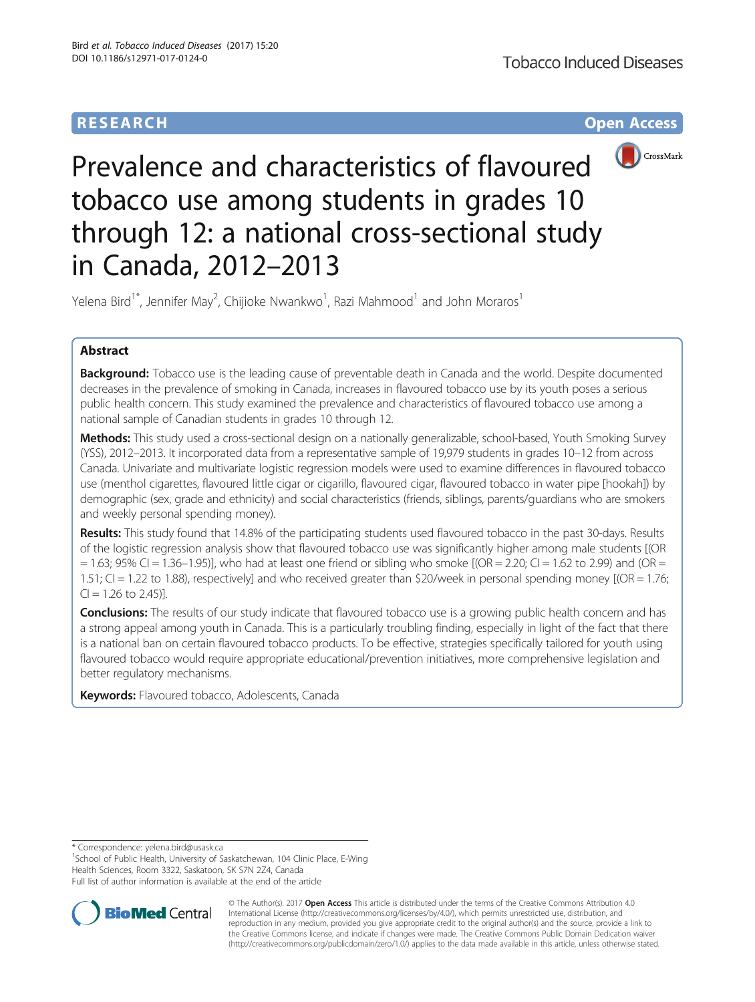# **RESEARCH CHE Open Access**



# Prevalence and characteristics of flavoured tobacco use among students in grades 10 through 12: a national cross-sectional study in Canada, 2012–2013

Yelena Bird $^1^\ast$ , Jennifer May<sup>2</sup>, Chijioke Nwankwo $^1$ , Razi Mahmood $^1$  and John Moraros $^1$ 

# Abstract

Background: Tobacco use is the leading cause of preventable death in Canada and the world. Despite documented decreases in the prevalence of smoking in Canada, increases in flavoured tobacco use by its youth poses a serious public health concern. This study examined the prevalence and characteristics of flavoured tobacco use among a national sample of Canadian students in grades 10 through 12.

Methods: This study used a cross-sectional design on a nationally generalizable, school-based, Youth Smoking Survey (YSS), 2012–2013. It incorporated data from a representative sample of 19,979 students in grades 10–12 from across Canada. Univariate and multivariate logistic regression models were used to examine differences in flavoured tobacco use (menthol cigarettes, flavoured little cigar or cigarillo, flavoured cigar, flavoured tobacco in water pipe [hookah]) by demographic (sex, grade and ethnicity) and social characteristics (friends, siblings, parents/guardians who are smokers and weekly personal spending money).

Results: This study found that 14.8% of the participating students used flavoured tobacco in the past 30-days. Results of the logistic regression analysis show that flavoured tobacco use was significantly higher among male students [(OR  $= 1.63$ ; 95% CI  $= 1.36-1.95$ ), who had at least one friend or sibling who smoke  $[(OR = 2.20; Cl = 1.62$  to 2.99) and  $(OR = 1.62; Cl = 1.36)$ 1.51; CI = 1.22 to 1.88), respectively] and who received greater than \$20/week in personal spending money [(OR = 1.76;  $Cl = 1.26$  to 2.45)].

**Conclusions:** The results of our study indicate that flavoured tobacco use is a growing public health concern and has a strong appeal among youth in Canada. This is a particularly troubling finding, especially in light of the fact that there is a national ban on certain flavoured tobacco products. To be effective, strategies specifically tailored for youth using flavoured tobacco would require appropriate educational/prevention initiatives, more comprehensive legislation and better regulatory mechanisms.

Keywords: Flavoured tobacco, Adolescents, Canada

\* Correspondence: [yelena.bird@usask.ca](mailto:yelena.bird@usask.ca) <sup>1</sup>

<sup>1</sup>School of Public Health, University of Saskatchewan, 104 Clinic Place, E-Wing Health Sciences, Room 3322, Saskatoon, SK S7N 2Z4, Canada

Full list of author information is available at the end of the article



© The Author(s). 2017 **Open Access** This article is distributed under the terms of the Creative Commons Attribution 4.0 International License [\(http://creativecommons.org/licenses/by/4.0/](http://creativecommons.org/licenses/by/4.0/)), which permits unrestricted use, distribution, and reproduction in any medium, provided you give appropriate credit to the original author(s) and the source, provide a link to the Creative Commons license, and indicate if changes were made. The Creative Commons Public Domain Dedication waiver [\(http://creativecommons.org/publicdomain/zero/1.0/](http://creativecommons.org/publicdomain/zero/1.0/)) applies to the data made available in this article, unless otherwise stated.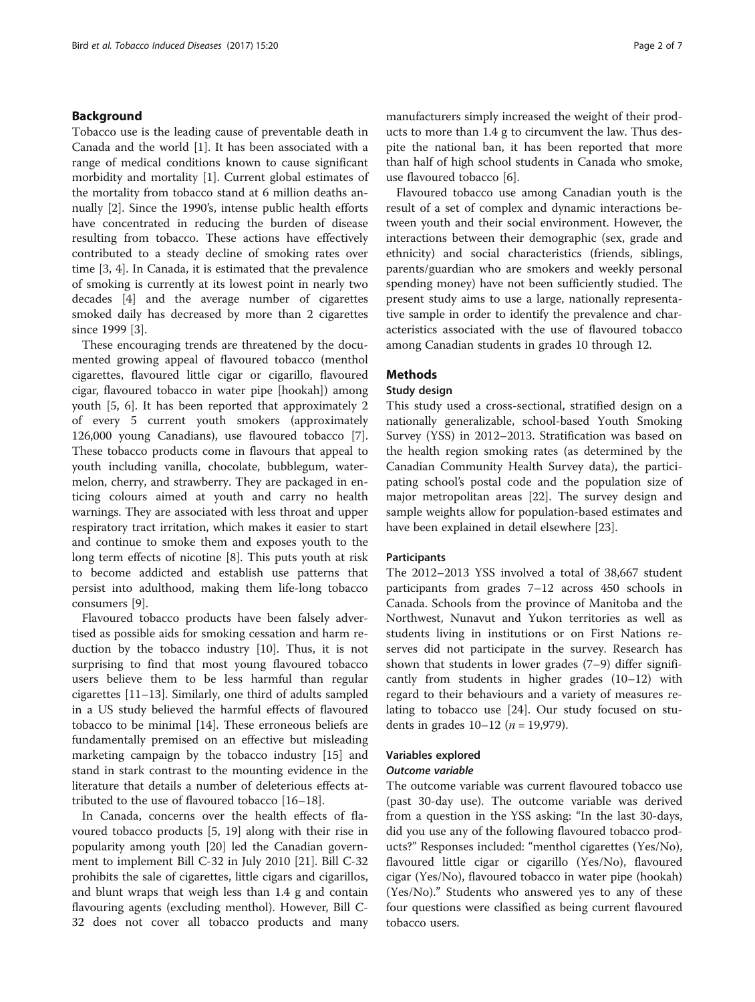# Background

Tobacco use is the leading cause of preventable death in Canada and the world [[1\]](#page-5-0). It has been associated with a range of medical conditions known to cause significant morbidity and mortality [\[1\]](#page-5-0). Current global estimates of the mortality from tobacco stand at 6 million deaths annually [\[2\]](#page-5-0). Since the 1990's, intense public health efforts have concentrated in reducing the burden of disease resulting from tobacco. These actions have effectively contributed to a steady decline of smoking rates over time [\[3](#page-5-0), [4](#page-5-0)]. In Canada, it is estimated that the prevalence of smoking is currently at its lowest point in nearly two decades [\[4](#page-5-0)] and the average number of cigarettes smoked daily has decreased by more than 2 cigarettes since 1999 [[3\]](#page-5-0).

These encouraging trends are threatened by the documented growing appeal of flavoured tobacco (menthol cigarettes, flavoured little cigar or cigarillo, flavoured cigar, flavoured tobacco in water pipe [hookah]) among youth [\[5](#page-5-0), [6](#page-5-0)]. It has been reported that approximately 2 of every 5 current youth smokers (approximately 126,000 young Canadians), use flavoured tobacco [\[7](#page-5-0)]. These tobacco products come in flavours that appeal to youth including vanilla, chocolate, bubblegum, watermelon, cherry, and strawberry. They are packaged in enticing colours aimed at youth and carry no health warnings. They are associated with less throat and upper respiratory tract irritation, which makes it easier to start and continue to smoke them and exposes youth to the long term effects of nicotine [\[8](#page-5-0)]. This puts youth at risk to become addicted and establish use patterns that persist into adulthood, making them life-long tobacco consumers [[9\]](#page-5-0).

Flavoured tobacco products have been falsely advertised as possible aids for smoking cessation and harm reduction by the tobacco industry [\[10](#page-5-0)]. Thus, it is not surprising to find that most young flavoured tobacco users believe them to be less harmful than regular cigarettes [[11](#page-5-0)–[13](#page-5-0)]. Similarly, one third of adults sampled in a US study believed the harmful effects of flavoured tobacco to be minimal [[14](#page-5-0)]. These erroneous beliefs are fundamentally premised on an effective but misleading marketing campaign by the tobacco industry [[15](#page-5-0)] and stand in stark contrast to the mounting evidence in the literature that details a number of deleterious effects attributed to the use of flavoured tobacco [\[16](#page-5-0)–[18\]](#page-5-0).

In Canada, concerns over the health effects of flavoured tobacco products [[5,](#page-5-0) [19](#page-6-0)] along with their rise in popularity among youth [\[20](#page-6-0)] led the Canadian government to implement Bill C-32 in July 2010 [\[21](#page-6-0)]. Bill C-32 prohibits the sale of cigarettes, little cigars and cigarillos, and blunt wraps that weigh less than 1.4 g and contain flavouring agents (excluding menthol). However, Bill C-32 does not cover all tobacco products and many manufacturers simply increased the weight of their products to more than 1.4 g to circumvent the law. Thus despite the national ban, it has been reported that more than half of high school students in Canada who smoke, use flavoured tobacco [[6\]](#page-5-0).

Flavoured tobacco use among Canadian youth is the result of a set of complex and dynamic interactions between youth and their social environment. However, the interactions between their demographic (sex, grade and ethnicity) and social characteristics (friends, siblings, parents/guardian who are smokers and weekly personal spending money) have not been sufficiently studied. The present study aims to use a large, nationally representative sample in order to identify the prevalence and characteristics associated with the use of flavoured tobacco among Canadian students in grades 10 through 12.

## **Methods**

### Study design

This study used a cross-sectional, stratified design on a nationally generalizable, school-based Youth Smoking Survey (YSS) in 2012–2013. Stratification was based on the health region smoking rates (as determined by the Canadian Community Health Survey data), the participating school's postal code and the population size of major metropolitan areas [\[22\]](#page-6-0). The survey design and sample weights allow for population-based estimates and have been explained in detail elsewhere [\[23](#page-6-0)].

## **Participants**

The 2012–2013 YSS involved a total of 38,667 student participants from grades 7–12 across 450 schools in Canada. Schools from the province of Manitoba and the Northwest, Nunavut and Yukon territories as well as students living in institutions or on First Nations reserves did not participate in the survey. Research has shown that students in lower grades (7–9) differ significantly from students in higher grades (10–12) with regard to their behaviours and a variety of measures relating to tobacco use [\[24](#page-6-0)]. Our study focused on students in grades  $10-12$  (*n* = 19,979).

# Variables explored

# Outcome variable

The outcome variable was current flavoured tobacco use (past 30-day use). The outcome variable was derived from a question in the YSS asking: "In the last 30-days, did you use any of the following flavoured tobacco products?" Responses included: "menthol cigarettes (Yes/No), flavoured little cigar or cigarillo (Yes/No), flavoured cigar (Yes/No), flavoured tobacco in water pipe (hookah) (Yes/No)." Students who answered yes to any of these four questions were classified as being current flavoured tobacco users.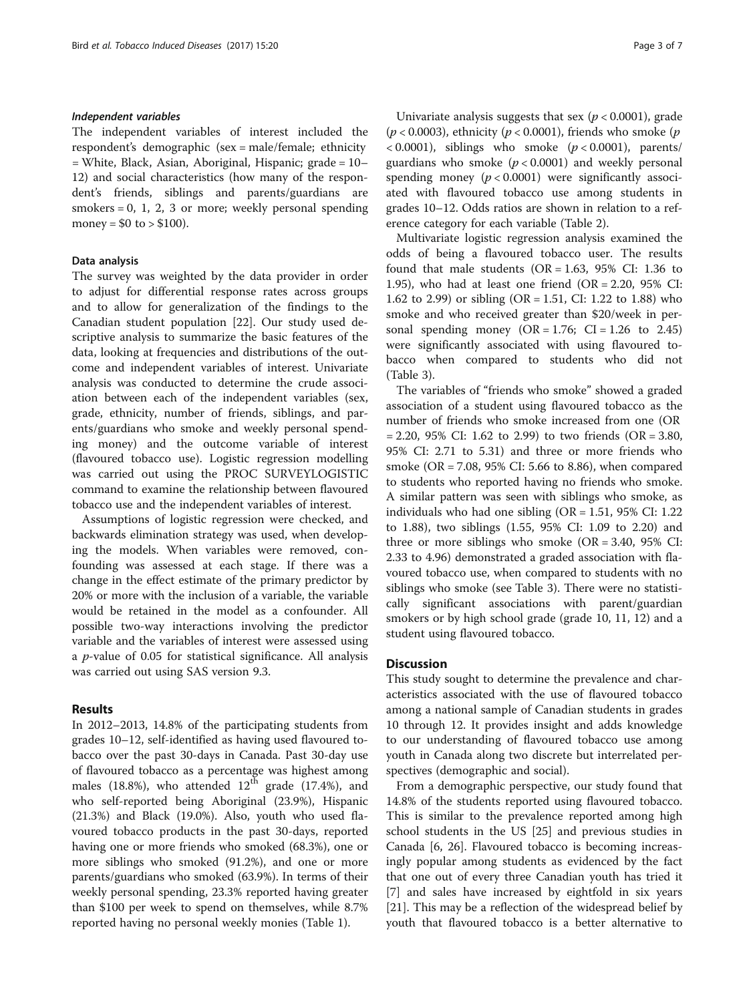#### Independent variables

The independent variables of interest included the respondent's demographic (sex = male/female; ethnicity = White, Black, Asian, Aboriginal, Hispanic; grade = 10– 12) and social characteristics (how many of the respondent's friends, siblings and parents/guardians are smokers  $= 0, 1, 2, 3$  or more; weekly personal spending money =  $$0$  to >  $$100$ ).

# Data analysis

The survey was weighted by the data provider in order to adjust for differential response rates across groups and to allow for generalization of the findings to the Canadian student population [[22](#page-6-0)]. Our study used descriptive analysis to summarize the basic features of the data, looking at frequencies and distributions of the outcome and independent variables of interest. Univariate analysis was conducted to determine the crude association between each of the independent variables (sex, grade, ethnicity, number of friends, siblings, and parents/guardians who smoke and weekly personal spending money) and the outcome variable of interest (flavoured tobacco use). Logistic regression modelling was carried out using the PROC SURVEYLOGISTIC command to examine the relationship between flavoured tobacco use and the independent variables of interest.

Assumptions of logistic regression were checked, and backwards elimination strategy was used, when developing the models. When variables were removed, confounding was assessed at each stage. If there was a change in the effect estimate of the primary predictor by 20% or more with the inclusion of a variable, the variable would be retained in the model as a confounder. All possible two-way interactions involving the predictor variable and the variables of interest were assessed using a  $p$ -value of 0.05 for statistical significance. All analysis was carried out using SAS version 9.3.

# Results

In 2012–2013, 14.8% of the participating students from grades 10–12, self-identified as having used flavoured tobacco over the past 30-days in Canada. Past 30-day use of flavoured tobacco as a percentage was highest among males (18.8%), who attended  $12<sup>th</sup>$  grade (17.4%), and who self-reported being Aboriginal (23.9%), Hispanic (21.3%) and Black (19.0%). Also, youth who used flavoured tobacco products in the past 30-days, reported having one or more friends who smoked (68.3%), one or more siblings who smoked (91.2%), and one or more parents/guardians who smoked (63.9%). In terms of their weekly personal spending, 23.3% reported having greater than \$100 per week to spend on themselves, while 8.7% reported having no personal weekly monies (Table [1](#page-3-0)).

Univariate analysis suggests that sex ( $p < 0.0001$ ), grade  $(p < 0.0003)$ , ethnicity  $(p < 0.0001)$ , friends who smoke  $(p$  $< 0.0001$ ), siblings who smoke ( $p < 0.0001$ ), parents/ guardians who smoke ( $p < 0.0001$ ) and weekly personal spending money  $(p < 0.0001)$  were significantly associated with flavoured tobacco use among students in grades 10–12. Odds ratios are shown in relation to a reference category for each variable (Table [2](#page-4-0)).

Multivariate logistic regression analysis examined the odds of being a flavoured tobacco user. The results found that male students (OR =  $1.63$ ,  $95\%$  CI:  $1.36$  to 1.95), who had at least one friend  $(OR = 2.20, 95\% \text{ CI:})$ 1.62 to 2.99) or sibling (OR = 1.51, CI: 1.22 to 1.88) who smoke and who received greater than \$20/week in personal spending money  $(OR = 1.76; CI = 1.26$  to 2.45) were significantly associated with using flavoured tobacco when compared to students who did not (Table [3\)](#page-4-0).

The variables of "friends who smoke" showed a graded association of a student using flavoured tobacco as the number of friends who smoke increased from one (OR  $= 2.20, 95\%$  CI: 1.62 to 2.99) to two friends (OR  $= 3.80$ , 95% CI: 2.71 to 5.31) and three or more friends who smoke (OR = 7.08, 95% CI: 5.66 to 8.86), when compared to students who reported having no friends who smoke. A similar pattern was seen with siblings who smoke, as individuals who had one sibling ( $OR = 1.51$ , 95% CI: 1.22 to 1.88), two siblings (1.55, 95% CI: 1.09 to 2.20) and three or more siblings who smoke  $(OR = 3.40, 95\% \text{ CI}:$ 2.33 to 4.96) demonstrated a graded association with flavoured tobacco use, when compared to students with no siblings who smoke (see Table [3\)](#page-4-0). There were no statistically significant associations with parent/guardian smokers or by high school grade (grade 10, 11, 12) and a student using flavoured tobacco.

# **Discussion**

This study sought to determine the prevalence and characteristics associated with the use of flavoured tobacco among a national sample of Canadian students in grades 10 through 12. It provides insight and adds knowledge to our understanding of flavoured tobacco use among youth in Canada along two discrete but interrelated perspectives (demographic and social).

From a demographic perspective, our study found that 14.8% of the students reported using flavoured tobacco. This is similar to the prevalence reported among high school students in the US [[25\]](#page-6-0) and previous studies in Canada [\[6](#page-5-0), [26](#page-6-0)]. Flavoured tobacco is becoming increasingly popular among students as evidenced by the fact that one out of every three Canadian youth has tried it [[7\]](#page-5-0) and sales have increased by eightfold in six years [[21\]](#page-6-0). This may be a reflection of the widespread belief by youth that flavoured tobacco is a better alternative to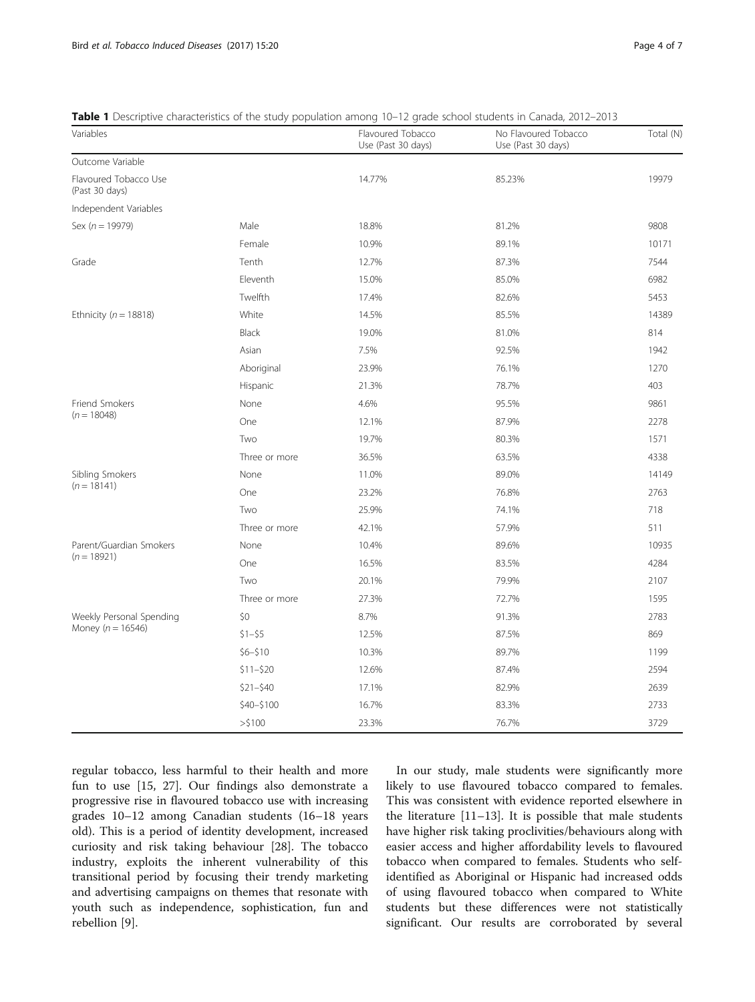<span id="page-3-0"></span>

| <b>Table 1</b> Descriptive characteristics of the study population among 10–12 grade school students in Canada, 2012–2013 |  |  |  |
|---------------------------------------------------------------------------------------------------------------------------|--|--|--|
|---------------------------------------------------------------------------------------------------------------------------|--|--|--|

| Variables                               |               | Flavoured Tobacco<br>Use (Past 30 days) | No Flavoured Tobacco<br>Use (Past 30 days) | Total (N) |
|-----------------------------------------|---------------|-----------------------------------------|--------------------------------------------|-----------|
| Outcome Variable                        |               |                                         |                                            |           |
| Flavoured Tobacco Use<br>(Past 30 days) |               | 14.77%                                  | 85.23%                                     | 19979     |
| Independent Variables                   |               |                                         |                                            |           |
| Sex ( $n = 19979$ )                     | Male          | 18.8%                                   | 81.2%                                      | 9808      |
|                                         | Female        | 10.9%                                   | 89.1%                                      | 10171     |
| Grade                                   | Tenth         | 12.7%                                   | 87.3%                                      | 7544      |
|                                         | Eleventh      | 15.0%                                   | 85.0%                                      | 6982      |
|                                         | Twelfth       | 17.4%                                   | 82.6%                                      | 5453      |
| Ethnicity ( $n = 18818$ )               | White         | 14.5%                                   | 85.5%                                      | 14389     |
|                                         | Black         | 19.0%                                   | 81.0%                                      | 814       |
|                                         | Asian         | 7.5%                                    | 92.5%                                      | 1942      |
|                                         | Aboriginal    | 23.9%                                   | 76.1%                                      | 1270      |
|                                         | Hispanic      | 21.3%                                   | 78.7%                                      | 403       |
| Friend Smokers                          | None          | 4.6%                                    | 95.5%                                      | 9861      |
| $(n = 18048)$                           | One           | 12.1%                                   | 87.9%                                      | 2278      |
|                                         | Two           | 19.7%                                   | 80.3%                                      | 1571      |
|                                         | Three or more | 36.5%                                   | 63.5%                                      | 4338      |
| Sibling Smokers                         | None          | 11.0%                                   | 89.0%                                      | 14149     |
| $(n = 18141)$                           | One           | 23.2%                                   | 76.8%                                      | 2763      |
|                                         | Two           | 25.9%                                   | 74.1%                                      | 718       |
|                                         | Three or more | 42.1%                                   | 57.9%                                      | 511       |
| Parent/Guardian Smokers                 | None          | 10.4%                                   | 89.6%                                      | 10935     |
| $(n = 18921)$                           | One           | 16.5%                                   | 83.5%                                      | 4284      |
|                                         | Two           | 20.1%                                   | 79.9%                                      | 2107      |
|                                         | Three or more | 27.3%                                   | 72.7%                                      | 1595      |
| Weekly Personal Spending                | \$0           | 8.7%                                    | 91.3%                                      | 2783      |
| Money ( $n = 16546$ )                   | $$1 - $5$     | 12.5%                                   | 87.5%                                      | 869       |
|                                         | $$6 - $10$    | 10.3%                                   | 89.7%                                      | 1199      |
|                                         | $$11 - $20$   | 12.6%                                   | 87.4%                                      | 2594      |
|                                         | $$21 - $40$   | 17.1%                                   | 82.9%                                      | 2639      |
|                                         | \$40-\$100    | 16.7%                                   | 83.3%                                      | 2733      |
|                                         | $>$ \$100     | 23.3%                                   | 76.7%                                      | 3729      |

regular tobacco, less harmful to their health and more fun to use [\[15,](#page-5-0) [27](#page-6-0)]. Our findings also demonstrate a progressive rise in flavoured tobacco use with increasing grades 10–12 among Canadian students (16–18 years old). This is a period of identity development, increased curiosity and risk taking behaviour [[28\]](#page-6-0). The tobacco industry, exploits the inherent vulnerability of this transitional period by focusing their trendy marketing and advertising campaigns on themes that resonate with youth such as independence, sophistication, fun and rebellion [[9\]](#page-5-0).

In our study, male students were significantly more likely to use flavoured tobacco compared to females. This was consistent with evidence reported elsewhere in the literature [[11](#page-5-0)–[13](#page-5-0)]. It is possible that male students have higher risk taking proclivities/behaviours along with easier access and higher affordability levels to flavoured tobacco when compared to females. Students who selfidentified as Aboriginal or Hispanic had increased odds of using flavoured tobacco when compared to White students but these differences were not statistically significant. Our results are corroborated by several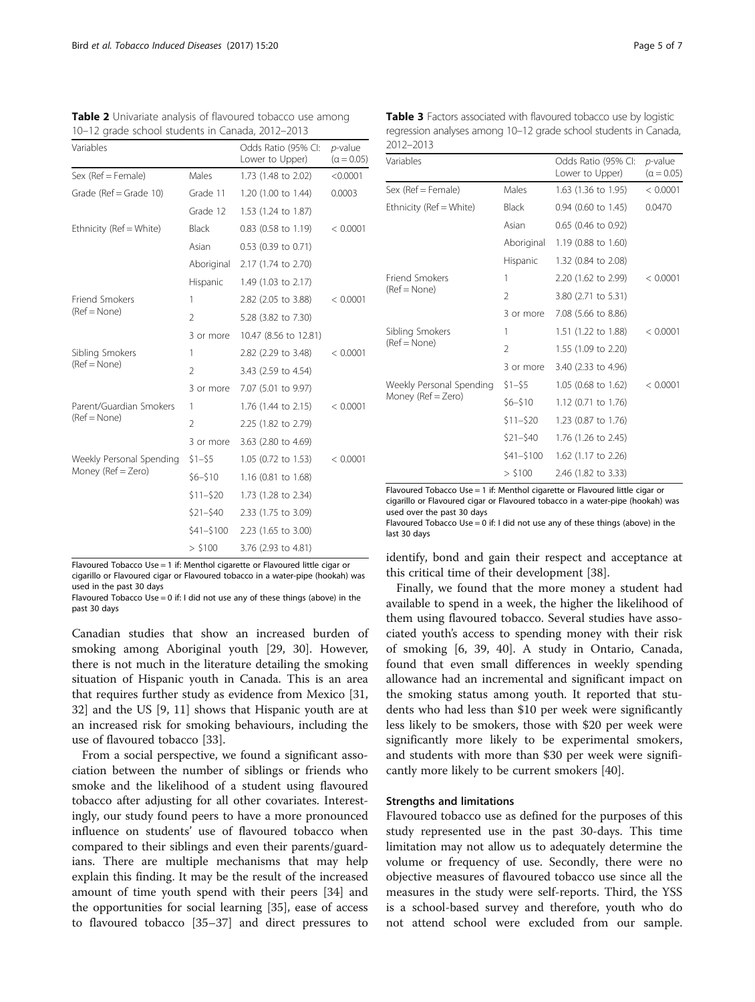| Variables                               |                | Odds Ratio (95% CI:<br>Lower to Upper) | $p$ -value<br>$(\alpha = 0.05)$ |
|-----------------------------------------|----------------|----------------------------------------|---------------------------------|
| Sex (Ref = Female)                      | Males          | 1.73 (1.48 to 2.02)                    | < 0.0001                        |
| Grade ( $Ref = Grade 10$ )              | Grade 11       | 1.20 (1.00 to 1.44)                    | 0.0003                          |
|                                         | Grade 12       | 1.53 (1.24 to 1.87)                    |                                 |
| Ethnicity (Ref = White)                 | Black          | $0.83$ (0.58 to 1.19)                  | < 0.0001                        |
|                                         | Asian          | 0.53 (0.39 to 0.71)                    |                                 |
|                                         | Aboriginal     | 2.17 (1.74 to 2.70)                    |                                 |
|                                         | Hispanic       | 1.49 (1.03 to 2.17)                    |                                 |
| <b>Friend Smokers</b><br>$(Ref = None)$ | 1              | 2.82 (2.05 to 3.88)                    | < 0.0001                        |
|                                         | $\overline{2}$ | 5.28 (3.82 to 7.30)                    |                                 |
|                                         | 3 or more      | 10.47 (8.56 to 12.81)                  |                                 |
| Sibling Smokers<br>$(Ref = None)$       | 1              | 2.82 (2.29 to 3.48)                    | < 0.0001                        |
|                                         | $\overline{2}$ | 3.43 (2.59 to 4.54)                    |                                 |
|                                         | 3 or more      | 7.07 (5.01 to 9.97)                    |                                 |
| Parent/Guardian Smokers                 | 1              | 1.76 (1.44 to 2.15)                    | < 0.0001                        |
| $(Ref = None)$                          | $\overline{2}$ | 2.25 (1.82 to 2.79)                    |                                 |
|                                         | 3 or more      | 3.63 (2.80 to 4.69)                    |                                 |
| Weekly Personal Spending                | $$1 - $5$      | 1.05 (0.72 to 1.53)                    | < 0.0001                        |
| Money (Ref = Zero)                      | $$6 - $10$     | 1.16 (0.81 to 1.68)                    |                                 |
|                                         | $$11 - $20$    | 1.73 (1.28 to 2.34)                    |                                 |
|                                         | $$21 - $40$    | 2.33 (1.75 to 3.09)                    |                                 |
|                                         | $$41 - $100$   | 2.23 (1.65 to 3.00)                    |                                 |
|                                         | > \$100        | 3.76 (2.93 to 4.81)                    |                                 |

<span id="page-4-0"></span>Table 2 Univariate analysis of flavoured tobacco use among 10–12 grade school students in Canada, 2012–2013

Flavoured Tobacco Use = 1 if: Menthol cigarette or Flavoured little cigar or cigarillo or Flavoured cigar or Flavoured tobacco in a water-pipe (hookah) was used in the past 30 days

Flavoured Tobacco Use = 0 if: I did not use any of these things (above) in the past 30 days

Canadian studies that show an increased burden of smoking among Aboriginal youth [\[29, 30](#page-6-0)]. However, there is not much in the literature detailing the smoking situation of Hispanic youth in Canada. This is an area that requires further study as evidence from Mexico [[31](#page-6-0), [32\]](#page-6-0) and the US [[9](#page-5-0), [11\]](#page-5-0) shows that Hispanic youth are at an increased risk for smoking behaviours, including the use of flavoured tobacco [[33\]](#page-6-0).

From a social perspective, we found a significant association between the number of siblings or friends who smoke and the likelihood of a student using flavoured tobacco after adjusting for all other covariates. Interestingly, our study found peers to have a more pronounced influence on students' use of flavoured tobacco when compared to their siblings and even their parents/guardians. There are multiple mechanisms that may help explain this finding. It may be the result of the increased amount of time youth spend with their peers [\[34](#page-6-0)] and the opportunities for social learning [[35\]](#page-6-0), ease of access to flavoured tobacco [[35](#page-6-0)–[37](#page-6-0)] and direct pressures to

| <b>Table 3</b> Factors associated with flavoured tobacco use by logistic |
|--------------------------------------------------------------------------|
| regression analyses among 10–12 grade school students in Canada,         |
| 2012–2013                                                                |

| Variables                                      |                | Odds Ratio (95% CI:<br>Lower to Upper) | <i>p</i> -value<br>$(\alpha = 0.05)$ |
|------------------------------------------------|----------------|----------------------------------------|--------------------------------------|
| Sex (Ref = Female)                             | Males          | $1.63$ (1.36 to 1.95)                  | < 0.0001                             |
| Ethnicity (Ref = White)                        | <b>Black</b>   | 0.94 (0.60 to 1.45)                    | 0.0470                               |
|                                                | Asian          | 0.65 (0.46 to 0.92)                    |                                      |
|                                                | Aboriginal     | 1.19 (0.88 to 1.60)                    |                                      |
|                                                | Hispanic       | 1.32 (0.84 to 2.08)                    |                                      |
| Friend Smokers<br>(Ref = None)                 | 1              | 2.20 (1.62 to 2.99)                    | < 0.0001                             |
|                                                | $\overline{2}$ | 3.80 (2.71 to 5.31)                    |                                      |
|                                                | 3 or more      | 7.08 (5.66 to 8.86)                    |                                      |
| Sibling Smokers                                | 1              | 1.51 (1.22 to 1.88)                    | < 0.0001                             |
| $(Ref = None)$                                 | 2              | 1.55 (1.09 to 2.20)                    |                                      |
|                                                | 3 or more      | 3.40 (2.33 to 4.96)                    |                                      |
| Weekly Personal Spending<br>Money (Ref = Zero) | $$1 - $5$      | $1.05$ (0.68 to 1.62)                  | < 0.0001                             |
|                                                | \$6–\$10       | 1.12 (0.71 to 1.76)                    |                                      |
|                                                | \$11–\$20      | 1.23 (0.87 to 1.76)                    |                                      |
|                                                | $$21 - $40$    | 1.76 (1.26 to 2.45)                    |                                      |
|                                                | \$41-\$100     | 1.62 (1.17 to 2.26)                    |                                      |
|                                                | $>$ \$100      | 2.46 (1.82 to 3.33)                    |                                      |

Flavoured Tobacco Use = 1 if: Menthol cigarette or Flavoured little cigar or cigarillo or Flavoured cigar or Flavoured tobacco in a water-pipe (hookah) was used over the past 30 days

Flavoured Tobacco Use = 0 if: I did not use any of these things (above) in the last 30 days

identify, bond and gain their respect and acceptance at this critical time of their development [\[38\]](#page-6-0).

Finally, we found that the more money a student had available to spend in a week, the higher the likelihood of them using flavoured tobacco. Several studies have associated youth's access to spending money with their risk of smoking [[6,](#page-5-0) [39](#page-6-0), [40\]](#page-6-0). A study in Ontario, Canada, found that even small differences in weekly spending allowance had an incremental and significant impact on the smoking status among youth. It reported that students who had less than \$10 per week were significantly less likely to be smokers, those with \$20 per week were significantly more likely to be experimental smokers, and students with more than \$30 per week were significantly more likely to be current smokers [\[40](#page-6-0)].

## Strengths and limitations

Flavoured tobacco use as defined for the purposes of this study represented use in the past 30-days. This time limitation may not allow us to adequately determine the volume or frequency of use. Secondly, there were no objective measures of flavoured tobacco use since all the measures in the study were self-reports. Third, the YSS is a school-based survey and therefore, youth who do not attend school were excluded from our sample.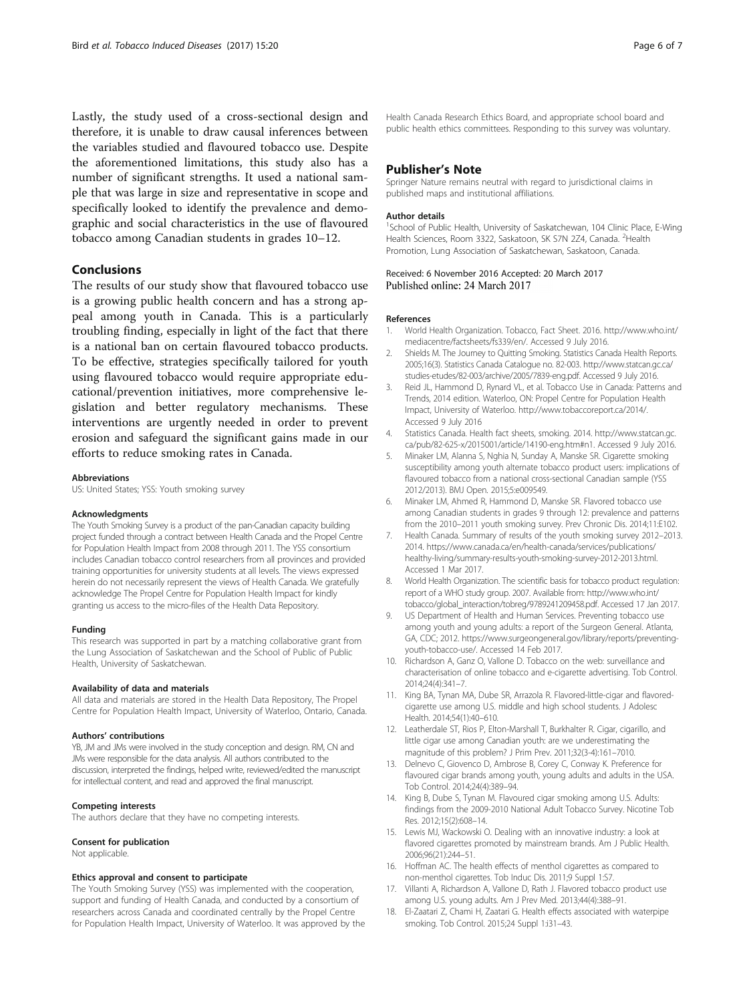<span id="page-5-0"></span>Lastly, the study used of a cross-sectional design and therefore, it is unable to draw causal inferences between the variables studied and flavoured tobacco use. Despite the aforementioned limitations, this study also has a number of significant strengths. It used a national sample that was large in size and representative in scope and specifically looked to identify the prevalence and demographic and social characteristics in the use of flavoured tobacco among Canadian students in grades 10–12.

## Conclusions

The results of our study show that flavoured tobacco use is a growing public health concern and has a strong appeal among youth in Canada. This is a particularly troubling finding, especially in light of the fact that there is a national ban on certain flavoured tobacco products. To be effective, strategies specifically tailored for youth using flavoured tobacco would require appropriate educational/prevention initiatives, more comprehensive legislation and better regulatory mechanisms. These interventions are urgently needed in order to prevent erosion and safeguard the significant gains made in our efforts to reduce smoking rates in Canada.

#### Abbreviations

US: United States; YSS: Youth smoking survey

#### Acknowledgments

The Youth Smoking Survey is a product of the pan-Canadian capacity building project funded through a contract between Health Canada and the Propel Centre for Population Health Impact from 2008 through 2011. The YSS consortium includes Canadian tobacco control researchers from all provinces and provided training opportunities for university students at all levels. The views expressed herein do not necessarily represent the views of Health Canada. We gratefully acknowledge The Propel Centre for Population Health Impact for kindly granting us access to the micro-files of the Health Data Repository.

#### Funding

This research was supported in part by a matching collaborative grant from the Lung Association of Saskatchewan and the School of Public of Public Health, University of Saskatchewan.

#### Availability of data and materials

All data and materials are stored in the Health Data Repository, The Propel Centre for Population Health Impact, University of Waterloo, Ontario, Canada.

#### Authors' contributions

YB, JM and JMs were involved in the study conception and design. RM, CN and JMs were responsible for the data analysis. All authors contributed to the discussion, interpreted the findings, helped write, reviewed/edited the manuscript for intellectual content, and read and approved the final manuscript.

#### Competing interests

The authors declare that they have no competing interests.

#### Consent for publication

Not applicable.

#### Ethics approval and consent to participate

The Youth Smoking Survey (YSS) was implemented with the cooperation, support and funding of Health Canada, and conducted by a consortium of researchers across Canada and coordinated centrally by the Propel Centre for Population Health Impact, University of Waterloo. It was approved by the Health Canada Research Ethics Board, and appropriate school board and public health ethics committees. Responding to this survey was voluntary.

#### Publisher's Note

Springer Nature remains neutral with regard to jurisdictional claims in published maps and institutional affiliations.

#### Author details

<sup>1</sup>School of Public Health, University of Saskatchewan, 104 Clinic Place, E-Wing Health Sciences, Room 3322, Saskatoon, SK S7N 2Z4, Canada. <sup>2</sup>Health Promotion, Lung Association of Saskatchewan, Saskatoon, Canada.

Received: 6 November 2016 Accepted: 20 March 2017 Published online: 24 March 2017

#### References

- 1. World Health Organization. Tobacco, Fact Sheet. 2016. [http://www.who.int/](http://www.who.int/mediacentre/factsheets/fs339/en/) [mediacentre/factsheets/fs339/en/](http://www.who.int/mediacentre/factsheets/fs339/en/). Accessed 9 July 2016.
- 2. Shields M. The Journey to Quitting Smoking. Statistics Canada Health Reports. 2005;16(3). Statistics Canada Catalogue no. 82-003. [http://www.statcan.gc.ca/](http://www.statcan.gc.ca/studies-etudes/82-003/archive/2005/7839-eng.pdf) [studies-etudes/82-003/archive/2005/7839-eng.pdf.](http://www.statcan.gc.ca/studies-etudes/82-003/archive/2005/7839-eng.pdf) Accessed 9 July 2016.
- 3. Reid JL, Hammond D, Rynard VL, et al. Tobacco Use in Canada: Patterns and Trends, 2014 edition. Waterloo, ON: Propel Centre for Population Health Impact, University of Waterloo.<http://www.tobaccoreport.ca/2014/>. Accessed 9 July 2016
- 4. Statistics Canada. Health fact sheets, smoking. 2014. [http://www.statcan.gc.](http://www.statcan.gc.ca/pub/82-625-x/2015001/article/14190-eng.htm#n1) [ca/pub/82-625-x/2015001/article/14190-eng.htm#n1](http://www.statcan.gc.ca/pub/82-625-x/2015001/article/14190-eng.htm#n1). Accessed 9 July 2016.
- 5. Minaker LM, Alanna S, Nghia N, Sunday A, Manske SR. Cigarette smoking susceptibility among youth alternate tobacco product users: implications of flavoured tobacco from a national cross-sectional Canadian sample (YSS) 2012/2013). BMJ Open. 2015;5:e009549.
- 6. Minaker LM, Ahmed R, Hammond D, Manske SR. Flavored tobacco use among Canadian students in grades 9 through 12: prevalence and patterns from the 2010–2011 youth smoking survey. Prev Chronic Dis. 2014;11:E102.
- 7. Health Canada. Summary of results of the youth smoking survey 2012–2013. 2014. [https://www.canada.ca/en/health-canada/services/publications/](https://www.canada.ca/en/health-canada/services/publications/healthy-living/summary-results-youth-smoking-survey-2012-2013.html) [healthy-living/summary-results-youth-smoking-survey-2012-2013.html.](https://www.canada.ca/en/health-canada/services/publications/healthy-living/summary-results-youth-smoking-survey-2012-2013.html) Accessed 1 Mar 2017.
- World Health Organization. The scientific basis for tobacco product regulation: report of a WHO study group. 2007. Available from: [http://www.who.int/](http://www.who.int/tobacco/global_interaction/tobreg/9789241209458.pdf) [tobacco/global\\_interaction/tobreg/9789241209458.pdf](http://www.who.int/tobacco/global_interaction/tobreg/9789241209458.pdf). Accessed 17 Jan 2017.
- 9. US Department of Health and Human Services. Preventing tobacco use among youth and young adults: a report of the Surgeon General. Atlanta, GA, CDC; 2012. [https://www.surgeongeneral.gov/library/reports/preventing](https://www.surgeongeneral.gov/library/reports/preventing-youth-tobacco-use/)[youth-tobacco-use/.](https://www.surgeongeneral.gov/library/reports/preventing-youth-tobacco-use/) Accessed 14 Feb 2017.
- 10. Richardson A, Ganz O, Vallone D. Tobacco on the web: surveillance and characterisation of online tobacco and e-cigarette advertising. Tob Control. 2014;24(4):341–7.
- 11. King BA, Tynan MA, Dube SR, Arrazola R. Flavored-little-cigar and flavoredcigarette use among U.S. middle and high school students. J Adolesc Health. 2014;54(1):40–610.
- 12. Leatherdale ST, Rios P, Elton-Marshall T, Burkhalter R. Cigar, cigarillo, and little cigar use among Canadian youth: are we underestimating the magnitude of this problem? J Prim Prev. 2011;32(3-4):161–7010.
- 13. Delnevo C, Giovenco D, Ambrose B, Corey C, Conway K. Preference for flavoured cigar brands among youth, young adults and adults in the USA. Tob Control. 2014;24(4):389–94.
- 14. King B, Dube S, Tynan M. Flavoured cigar smoking among U.S. Adults: findings from the 2009-2010 National Adult Tobacco Survey. Nicotine Tob Res. 2012;15(2):608–14.
- 15. Lewis MJ, Wackowski O. Dealing with an innovative industry: a look at flavored cigarettes promoted by mainstream brands. Am J Public Health. 2006;96(21):244–51.
- 16. Hoffman AC. The health effects of menthol cigarettes as compared to non-menthol cigarettes. Tob Induc Dis. 2011;9 Suppl 1:S7.
- 17. Villanti A, Richardson A, Vallone D, Rath J. Flavored tobacco product use among U.S. young adults. Am J Prev Med. 2013;44(4):388–91.
- 18. El-Zaatari Z, Chami H, Zaatari G. Health effects associated with waterpipe smoking. Tob Control. 2015;24 Suppl 1:i31–43.